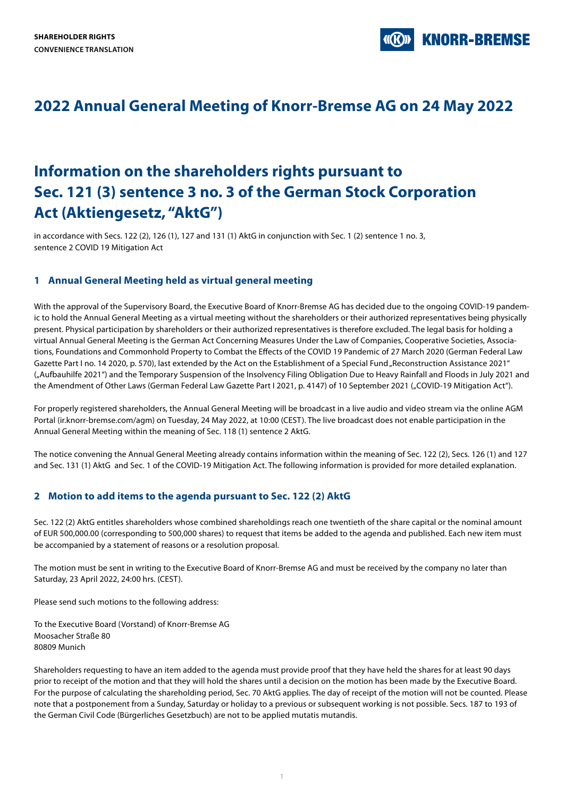**KNORR-BREMSE** 

## **2022 Annual General Meeting of Knorr-Bremse AG on 24 May 2022**

# **Information on the shareholders rights pursuant to Sec. 121 (3) sentence 3 no. 3 of the German Stock Corporation Act (Aktiengesetz, "AktG")**

in accordance with Secs. 122 (2), 126 (1), 127 and 131 (1) AktG in conjunction with Sec. 1 (2) sentence 1 no. 3, sentence 2 COVID 19 Mitigation Act

## **1 Annual General Meeting held as virtual general meeting**

With the approval of the Supervisory Board, the Executive Board of Knorr-Bremse AG has decided due to the ongoing COVID-19 pandemic to hold the Annual General Meeting as a virtual meeting without the shareholders or their authorized representatives being physically present. Physical participation by shareholders or their authorized representatives is therefore excluded. The legal basis for holding a virtual Annual General Meeting is the German Act Concerning Measures Under the Law of Companies, Cooperative Societies, Associations, Foundations and Commonhold Property to Combat the Effects of the COVID 19 Pandemic of 27 March 2020 (German Federal Law Gazette Part I no. 14 2020, p. 570), last extended by the Act on the Establishment of a Special Fund "Reconstruction Assistance 2021' ("Aufbauhilfe 2021") and the Temporary Suspension of the Insolvency Filing Obligation Due to Heavy Rainfall and Floods in July 2021 and the Amendment of Other Laws (German Federal Law Gazette Part I 2021, p. 4147) of 10 September 2021 ("COVID-19 Mitigation Act").

For properly registered shareholders, the Annual General Meeting will be broadcast in a live audio and video stream via the online AGM Portal (ir.knorr-bremse.com/agm) on Tuesday, 24 May 2022, at 10:00 (CEST). The live broadcast does not enable participation in the Annual General Meeting within the meaning of Sec. 118 (1) sentence 2 AktG.

The notice convening the Annual General Meeting already contains information within the meaning of Sec. 122 (2), Secs. 126 (1) and 127 and Sec. 131 (1) AktG and Sec. 1 of the COVID-19 Mitigation Act. The following information is provided for more detailed explanation.

## **2 Motion to add items to the agenda pursuant to Sec. 122 (2) AktG**

Sec. 122 (2) AktG entitles shareholders whose combined shareholdings reach one twentieth of the share capital or the nominal amount of EUR 500,000.00 (corresponding to 500,000 shares) to request that items be added to the agenda and published. Each new item must be accompanied by a statement of reasons or a resolution proposal.

The motion must be sent in writing to the Executive Board of Knorr-Bremse AG and must be received by the company no later than Saturday, 23 April 2022, 24:00 hrs. (CEST).

Please send such motions to the following address:

To the Executive Board (Vorstand) of Knorr-Bremse AG Moosacher Straße 80 80809 Munich

Shareholders requesting to have an item added to the agenda must provide proof that they have held the shares for at least 90 days prior to receipt of the motion and that they will hold the shares until a decision on the motion has been made by the Executive Board. For the purpose of calculating the shareholding period, Sec. 70 AktG applies. The day of receipt of the motion will not be counted. Please note that a postponement from a Sunday, Saturday or holiday to a previous or subsequent working is not possible. Secs. 187 to 193 of the German Civil Code (Bürgerliches Gesetzbuch) are not to be applied mutatis mutandis.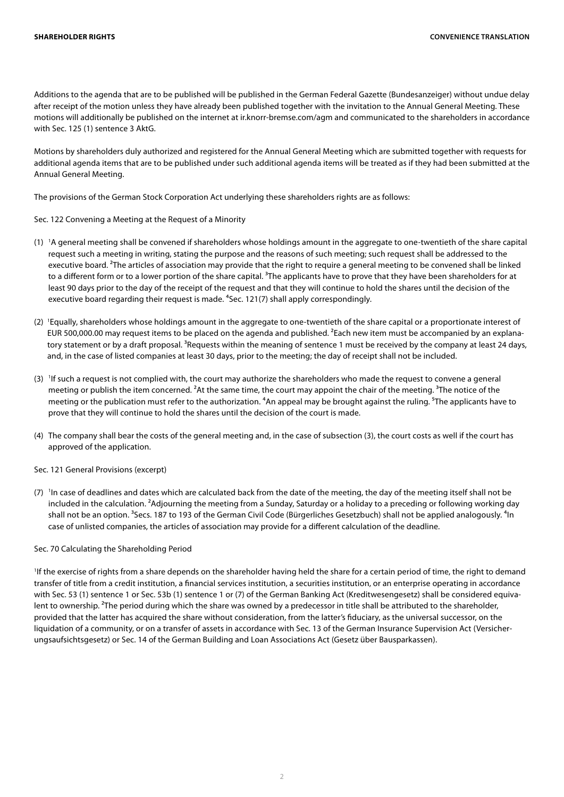Additions to the agenda that are to be published will be published in the German Federal Gazette (Bundesanzeiger) without undue delay after receipt of the motion unless they have already been published together with the invitation to the Annual General Meeting. These motions will additionally be published on the internet at ir.knorr-bremse.com/agm and communicated to the shareholders in accordance with Sec. 125 (1) sentence 3 AktG.

Motions by shareholders duly authorized and registered for the Annual General Meeting which are submitted together with requests for additional agenda items that are to be published under such additional agenda items will be treated as if they had been submitted at the Annual General Meeting.

The provisions of the German Stock Corporation Act underlying these shareholders rights are as follows:

Sec. 122 Convening a Meeting at the Request of a Minority

- (1) 1 A general meeting shall be convened if shareholders whose holdings amount in the aggregate to one-twentieth of the share capital request such a meeting in writing, stating the purpose and the reasons of such meeting; such request shall be addressed to the executive board. <sup>2</sup>The articles of association may provide that the right to require a general meeting to be convened shall be linked to a different form or to a lower portion of the share capital. <sup>3</sup>The applicants have to prove that they have been shareholders for at least 90 days prior to the day of the receipt of the request and that they will continue to hold the shares until the decision of the executive board regarding their request is made. <sup>4</sup>Sec. 121(7) shall apply correspondingly.
- (2) <sup>1</sup>Equally, shareholders whose holdings amount in the aggregate to one-twentieth of the share capital or a proportionate interest of EUR 500,000.00 may request items to be placed on the agenda and published. ²Each new item must be accompanied by an explanatory statement or by a draft proposal. <sup>3</sup>Requests within the meaning of sentence 1 must be received by the company at least 24 days, and, in the case of listed companies at least 30 days, prior to the meeting; the day of receipt shall not be included.
- (3) If such a request is not complied with, the court may authorize the shareholders who made the request to convene a general meeting or publish the item concerned. <sup>2</sup>At the same time, the court may appoint the chair of the meeting. <sup>3</sup>The notice of the meeting or the publication must refer to the authorization. <sup>4</sup>An appeal may be brought against the ruling. <sup>5</sup>The applicants have to prove that they will continue to hold the shares until the decision of the court is made.
- (4) The company shall bear the costs of the general meeting and, in the case of subsection (3), the court costs as well if the court has approved of the application.

#### Sec. 121 General Provisions (excerpt)

(7) <sup>I</sup>In case of deadlines and dates which are calculated back from the date of the meeting, the day of the meeting itself shall not be included in the calculation. ²Adjourning the meeting from a Sunday, Saturday or a holiday to a preceding or following working day shall not be an option. <sup>3</sup>Secs. 187 to 193 of the German Civil Code (Bürgerliches Gesetzbuch) shall not be applied analogously. <sup>4</sup>In case of unlisted companies, the articles of association may provide for a different calculation of the deadline.

#### Sec. 70 Calculating the Shareholding Period

1 If the exercise of rights from a share depends on the shareholder having held the share for a certain period of time, the right to demand transfer of title from a credit institution, a financial services institution, a securities institution, or an enterprise operating in accordance with Sec. 53 (1) sentence 1 or Sec. 53b (1) sentence 1 or (7) of the German Banking Act (Kreditwesengesetz) shall be considered equivalent to ownership. <sup>2</sup>The period during which the share was owned by a predecessor in title shall be attributed to the shareholder, provided that the latter has acquired the share without consideration, from the latter's fiduciary, as the universal successor, on the liquidation of a community, or on a transfer of assets in accordance with Sec. 13 of the German Insurance Supervision Act (Versicherungsaufsichtsgesetz) or Sec. 14 of the German Building and Loan Associations Act (Gesetz über Bausparkassen).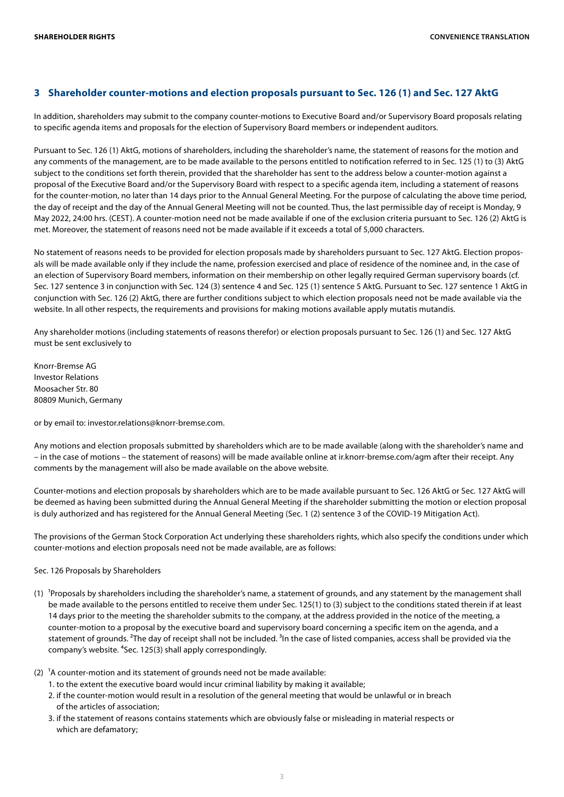## **3 Shareholder counter-motions and election proposals pursuant to Sec. 126 (1) and Sec. 127 AktG**

In addition, shareholders may submit to the company counter-motions to Executive Board and/or Supervisory Board proposals relating to specific agenda items and proposals for the election of Supervisory Board members or independent auditors.

Pursuant to Sec. 126 (1) AktG, motions of shareholders, including the shareholder's name, the statement of reasons for the motion and any comments of the management, are to be made available to the persons entitled to notification referred to in Sec. 125 (1) to (3) AktG subject to the conditions set forth therein, provided that the shareholder has sent to the address below a counter-motion against a proposal of the Executive Board and/or the Supervisory Board with respect to a specific agenda item, including a statement of reasons for the counter-motion, no later than 14 days prior to the Annual General Meeting. For the purpose of calculating the above time period, the day of receipt and the day of the Annual General Meeting will not be counted. Thus, the last permissible day of receipt is Monday, 9 May 2022, 24:00 hrs. (CEST). A counter-motion need not be made available if one of the exclusion criteria pursuant to Sec. 126 (2) AktG is met. Moreover, the statement of reasons need not be made available if it exceeds a total of 5,000 characters.

No statement of reasons needs to be provided for election proposals made by shareholders pursuant to Sec. 127 AktG. Election proposals will be made available only if they include the name, profession exercised and place of residence of the nominee and, in the case of an election of Supervisory Board members, information on their membership on other legally required German supervisory boards (cf. Sec. 127 sentence 3 in conjunction with Sec. 124 (3) sentence 4 and Sec. 125 (1) sentence 5 AktG. Pursuant to Sec. 127 sentence 1 AktG in conjunction with Sec. 126 (2) AktG, there are further conditions subject to which election proposals need not be made available via the website. In all other respects, the requirements and provisions for making motions available apply mutatis mutandis.

Any shareholder motions (including statements of reasons therefor) or election proposals pursuant to Sec. 126 (1) and Sec. 127 AktG must be sent exclusively to

Knorr-Bremse AG Investor Relations Moosacher Str. 80 80809 Munich, Germany

or by email to: investor.relations@knorr-bremse.com.

Any motions and election proposals submitted by shareholders which are to be made available (along with the shareholder's name and – in the case of motions – the statement of reasons) will be made available online at ir.knorr-bremse.com/agm after their receipt. Any comments by the management will also be made available on the above website.

Counter-motions and election proposals by shareholders which are to be made available pursuant to Sec. 126 AktG or Sec. 127 AktG will be deemed as having been submitted during the Annual General Meeting if the shareholder submitting the motion or election proposal is duly authorized and has registered for the Annual General Meeting (Sec. 1 (2) sentence 3 of the COVID-19 Mitigation Act).

The provisions of the German Stock Corporation Act underlying these shareholders rights, which also specify the conditions under which counter-motions and election proposals need not be made available, are as follows:

#### Sec. 126 Proposals by Shareholders

- (1) <sup>1</sup>Proposals by shareholders including the shareholder's name, a statement of grounds, and any statement by the management shall be made available to the persons entitled to receive them under Sec. 125(1) to (3) subject to the conditions stated therein if at least 14 days prior to the meeting the shareholder submits to the company, at the address provided in the notice of the meeting, a counter-motion to a proposal by the executive board and supervisory board concerning a specific item on the agenda, and a statement of grounds. <sup>2</sup>The day of receipt shall not be included. <sup>3</sup>In the case of listed companies, access shall be provided via the company's website. <sup>4</sup>Sec. 125(3) shall apply correspondingly.
- (2)  $1A$  counter-motion and its statement of grounds need not be made available:
	- 1. to the extent the executive board would incur criminal liability by making it available;
	- 2. if the counter-motion would result in a resolution of the general meeting that would be unlawful or in breach of the articles of association;
	- 3. if the statement of reasons contains statements which are obviously false or misleading in material respects or which are defamatory;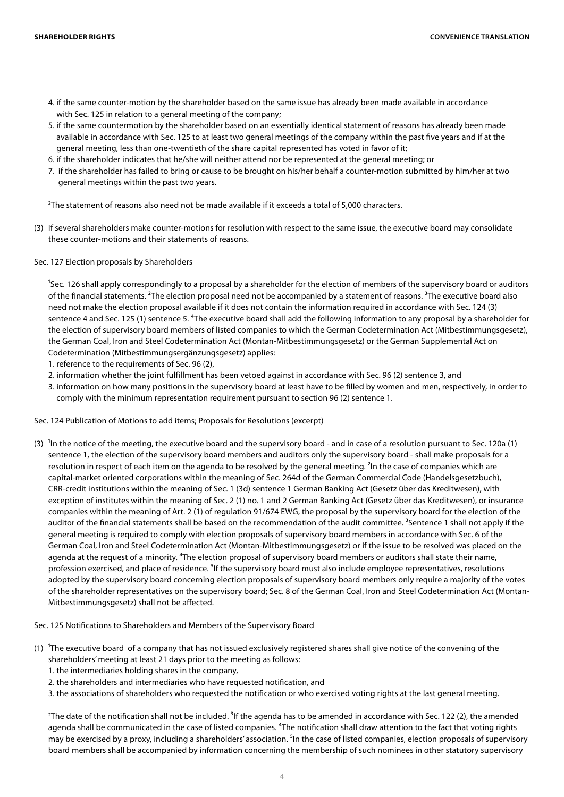- 4. if the same counter-motion by the shareholder based on the same issue has already been made available in accordance with Sec. 125 in relation to a general meeting of the company;
- 5. if the same countermotion by the shareholder based on an essentially identical statement of reasons has already been made available in accordance with Sec. 125 to at least two general meetings of the company within the past five years and if at the general meeting, less than one-twentieth of the share capital represented has voted in favor of it;
- 6. if the shareholder indicates that he/she will neither attend nor be represented at the general meeting; or
- 7. if the shareholder has failed to bring or cause to be brought on his/her behalf a counter-motion submitted by him/her at two general meetings within the past two years.

2 The statement of reasons also need not be made available if it exceeds a total of 5,000 characters.

(3) If several shareholders make counter-motions for resolution with respect to the same issue, the executive board may consolidate these counter-motions and their statements of reasons.

Sec. 127 Election proposals by Shareholders

<sup>1</sup>Sec. 126 shall apply correspondingly to a proposal by a shareholder for the election of members of the supervisory board or auditors of the financial statements. <sup>2</sup>The election proposal need not be accompanied by a statement of reasons. <sup>3</sup>The executive board also need not make the election proposal available if it does not contain the information required in accordance with Sec. 124 (3) sentence 4 and Sec. 125 (1) sentence 5. <sup>4</sup>The executive board shall add the following information to any proposal by a shareholder for the election of supervisory board members of listed companies to which the German Codetermination Act (Mitbestimmungsgesetz), the German Coal, Iron and Steel Codetermination Act (Montan-Mitbestimmungsgesetz) or the German Supplemental Act on Codetermination (Mitbestimmungsergänzungsgesetz) applies:

1. reference to the requirements of Sec. 96 (2),

- 2. information whether the joint fulfillment has been vetoed against in accordance with Sec. 96 (2) sentence 3, and
- 3. information on how many positions in the supervisory board at least have to be filled by women and men, respectively, in order to comply with the minimum representation requirement pursuant to section 96 (2) sentence 1.
- Sec. 124 Publication of Motions to add items; Proposals for Resolutions (excerpt)
- (3)  $\,$  In the notice of the meeting, the executive board and the supervisory board and in case of a resolution pursuant to Sec. 120a (1) sentence 1, the election of the supervisory board members and auditors only the supervisory board - shall make proposals for a resolution in respect of each item on the agenda to be resolved by the general meeting. <sup>2</sup>In the case of companies which are capital-market oriented corporations within the meaning of Sec. 264d of the German Commercial Code (Handelsgesetzbuch), CRR-credit institutions within the meaning of Sec. 1 (3d) sentence 1 German Banking Act (Gesetz über das Kreditwesen), with exception of institutes within the meaning of Sec. 2 (1) no. 1 and 2 German Banking Act (Gesetz über das Kreditwesen), or insurance companies within the meaning of Art. 2 (1) of regulation 91/674 EWG, the proposal by the supervisory board for the election of the auditor of the financial statements shall be based on the recommendation of the audit committee.<sup>3</sup>Sentence 1 shall not apply if the general meeting is required to comply with election proposals of supervisory board members in accordance with Sec. 6 of the German Coal, Iron and Steel Codetermination Act (Montan-Mitbestimmungsgesetz) or if the issue to be resolved was placed on the agenda at the request of a minority. <sup>4</sup>The election proposal of supervisory board members or auditors shall state their name, profession exercised, and place of residence. <sup>5</sup>If the supervisory board must also include employee representatives, resolutions adopted by the supervisory board concerning election proposals of supervisory board members only require a majority of the votes of the shareholder representatives on the supervisory board; Sec. 8 of the German Coal, Iron and Steel Codetermination Act (Montan-Mitbestimmungsgesetz) shall not be affected.

Sec. 125 Notifications to Shareholders and Members of the Supervisory Board

- (1) The executive board of a company that has not issued exclusively registered shares shall give notice of the convening of the shareholders' meeting at least 21 days prior to the meeting as follows:
	- 1. the intermediaries holding shares in the company,
	- 2. the shareholders and intermediaries who have requested notification, and
	- 3. the associations of shareholders who requested the notification or who exercised voting rights at the last general meeting.

<sup>2</sup>The date of the notification shall not be included. <sup>3</sup>If the agenda has to be amended in accordance with Sec. 122 (2), the amended agenda shall be communicated in the case of listed companies. <sup>4</sup>The notification shall draw attention to the fact that voting rights may be exercised by a proxy, including a shareholders' association. <sup>5</sup>In the case of listed companies, election proposals of supervisory board members shall be accompanied by information concerning the membership of such nominees in other statutory supervisory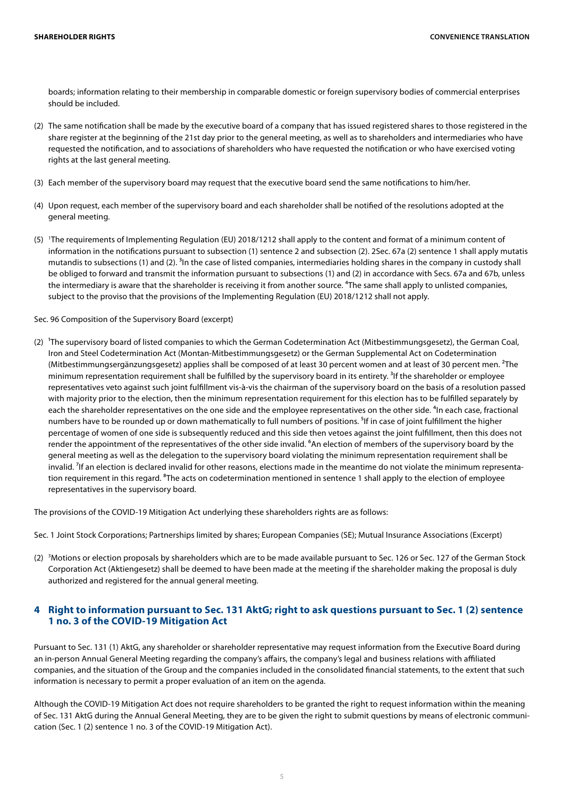boards; information relating to their membership in comparable domestic or foreign supervisory bodies of commercial enterprises should be included.

- (2) The same notification shall be made by the executive board of a company that has issued registered shares to those registered in the share register at the beginning of the 21st day prior to the general meeting, as well as to shareholders and intermediaries who have requested the notification, and to associations of shareholders who have requested the notification or who have exercised voting rights at the last general meeting.
- (3) Each member of the supervisory board may request that the executive board send the same notifications to him/her.
- (4) Upon request, each member of the supervisory board and each shareholder shall be notified of the resolutions adopted at the general meeting.
- (5) 1 The requirements of Implementing Regulation (EU) 2018/1212 shall apply to the content and format of a minimum content of information in the notifications pursuant to subsection (1) sentence 2 and subsection (2). 2Sec. 67a (2) sentence 1 shall apply mutatis mutandis to subsections (1) and (2). <sup>3</sup>In the case of listed companies, intermediaries holding shares in the company in custody shall be obliged to forward and transmit the information pursuant to subsections (1) and (2) in accordance with Secs. 67a and 67b, unless the intermediary is aware that the shareholder is receiving it from another source. <sup>4</sup>The same shall apply to unlisted companies, subject to the proviso that the provisions of the Implementing Regulation (EU) 2018/1212 shall not apply.

#### Sec. 96 Composition of the Supervisory Board (excerpt)

(2) <sup>I</sup>The supervisory board of listed companies to which the German Codetermination Act (Mitbestimmungsgesetz), the German Coal, Iron and Steel Codetermination Act (Montan-Mitbestimmungsgesetz) or the German Supplemental Act on Codetermination (Mitbestimmungsergänzungsgesetz) applies shall be composed of at least 30 percent women and at least of 30 percent men. ²The minimum representation requirement shall be fulfilled by the supervisory board in its entirety. <sup>3</sup>If the shareholder or employee representatives veto against such joint fulfillment vis-à-vis the chairman of the supervisory board on the basis of a resolution passed with majority prior to the election, then the minimum representation requirement for this election has to be fulfilled separately by each the shareholder representatives on the one side and the employee representatives on the other side. <sup>4</sup>In each case, fractional numbers have to be rounded up or down mathematically to full numbers of positions. <sup>5</sup>If in case of joint fulfillment the higher percentage of women of one side is subsequently reduced and this side then vetoes against the joint fulfillment, then this does not render the appointment of the representatives of the other side invalid. <sup>6</sup>An election of members of the supervisory board by the general meeting as well as the delegation to the supervisory board violating the minimum representation requirement shall be invalid. <sup>7</sup>If an election is declared invalid for other reasons, elections made in the meantime do not violate the minimum representation requirement in this regard. <sup>8</sup>The acts on codetermination mentioned in sentence 1 shall apply to the election of employee representatives in the supervisory board.

The provisions of the COVID-19 Mitigation Act underlying these shareholders rights are as follows:

Sec. 1 Joint Stock Corporations; Partnerships limited by shares; European Companies (SE); Mutual Insurance Associations (Excerpt)

(2) <sup>3</sup>Motions or election proposals by shareholders which are to be made available pursuant to Sec. 126 or Sec. 127 of the German Stock Corporation Act (Aktiengesetz) shall be deemed to have been made at the meeting if the shareholder making the proposal is duly authorized and registered for the annual general meeting.

#### **4 Right to information pursuant to Sec. 131 AktG; right to ask questions pursuant to Sec. 1 (2) sentence 1 no. 3 of the COVID-19 Mitigation Act**

Pursuant to Sec. 131 (1) AktG, any shareholder or shareholder representative may request information from the Executive Board during an in-person Annual General Meeting regarding the company's affairs, the company's legal and business relations with affiliated companies, and the situation of the Group and the companies included in the consolidated financial statements, to the extent that such information is necessary to permit a proper evaluation of an item on the agenda.

Although the COVID-19 Mitigation Act does not require shareholders to be granted the right to request information within the meaning of Sec. 131 AktG during the Annual General Meeting, they are to be given the right to submit questions by means of electronic communication (Sec. 1 (2) sentence 1 no. 3 of the COVID-19 Mitigation Act).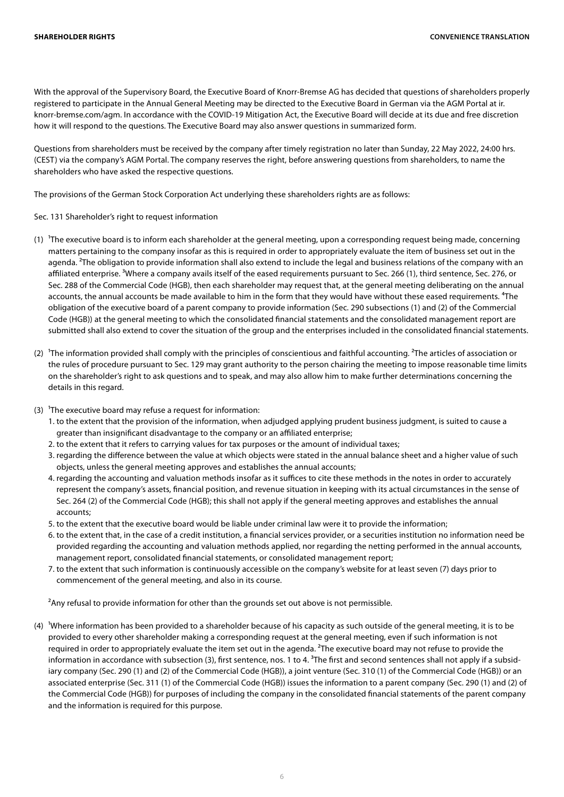With the approval of the Supervisory Board, the Executive Board of Knorr-Bremse AG has decided that questions of shareholders properly registered to participate in the Annual General Meeting may be directed to the Executive Board in German via the AGM Portal at ir. knorr-bremse.com/agm. In accordance with the COVID-19 Mitigation Act, the Executive Board will decide at its due and free discretion how it will respond to the questions. The Executive Board may also answer questions in summarized form.

Questions from shareholders must be received by the company after timely registration no later than Sunday, 22 May 2022, 24:00 hrs. (CEST) via the company's AGM Portal. The company reserves the right, before answering questions from shareholders, to name the shareholders who have asked the respective questions.

The provisions of the German Stock Corporation Act underlying these shareholders rights are as follows:

Sec. 131 Shareholder's right to request information

- (1) The executive board is to inform each shareholder at the general meeting, upon a corresponding request being made, concerning matters pertaining to the company insofar as this is required in order to appropriately evaluate the item of business set out in the agenda. <sup>2</sup>The obligation to provide information shall also extend to include the legal and business relations of the company with an affiliated enterprise. <sup>3</sup>Where a company avails itself of the eased requirements pursuant to Sec. 266 (1), third sentence, Sec. 276, or Sec. 288 of the Commercial Code (HGB), then each shareholder may request that, at the general meeting deliberating on the annual accounts, the annual accounts be made available to him in the form that they would have without these eased requirements. <sup>4</sup>The obligation of the executive board of a parent company to provide information (Sec. 290 subsections (1) and (2) of the Commercial Code (HGB)) at the general meeting to which the consolidated financial statements and the consolidated management report are submitted shall also extend to cover the situation of the group and the enterprises included in the consolidated financial statements.
- (2) <sup>1</sup>The information provided shall comply with the principles of conscientious and faithful accounting. <sup>2</sup>The articles of association or the rules of procedure pursuant to Sec. 129 may grant authority to the person chairing the meeting to impose reasonable time limits on the shareholder's right to ask questions and to speak, and may also allow him to make further determinations concerning the details in this regard.
- (3)  $^1$ The executive board may refuse a request for information:
	- 1. to the extent that the provision of the information, when adjudged applying prudent business judgment, is suited to cause a greater than insignificant disadvantage to the company or an affiliated enterprise;
	- 2. to the extent that it refers to carrying values for tax purposes or the amount of individual taxes;
	- 3. regarding the difference between the value at which objects were stated in the annual balance sheet and a higher value of such objects, unless the general meeting approves and establishes the annual accounts;
	- 4. regarding the accounting and valuation methods insofar as it suffices to cite these methods in the notes in order to accurately represent the company's assets, financial position, and revenue situation in keeping with its actual circumstances in the sense of Sec. 264 (2) of the Commercial Code (HGB); this shall not apply if the general meeting approves and establishes the annual accounts;
	- 5. to the extent that the executive board would be liable under criminal law were it to provide the information;
	- 6. to the extent that, in the case of a credit institution, a financial services provider, or a securities institution no information need be provided regarding the accounting and valuation methods applied, nor regarding the netting performed in the annual accounts, management report, consolidated financial statements, or consolidated management report;
	- 7. to the extent that such information is continuously accessible on the company's website for at least seven (7) days prior to commencement of the general meeting, and also in its course.

<sup>2</sup>Any refusal to provide information for other than the grounds set out above is not permissible.

(4) Vhere information has been provided to a shareholder because of his capacity as such outside of the general meeting, it is to be provided to every other shareholder making a corresponding request at the general meeting, even if such information is not required in order to appropriately evaluate the item set out in the agenda. <sup>2</sup>The executive board may not refuse to provide the information in accordance with subsection (3), first sentence, nos. 1 to 4.  ${}^{3}$ The first and second sentences shall not apply if a subsidiary company (Sec. 290 (1) and (2) of the Commercial Code (HGB)), a joint venture (Sec. 310 (1) of the Commercial Code (HGB)) or an associated enterprise (Sec. 311 (1) of the Commercial Code (HGB)) issues the information to a parent company (Sec. 290 (1) and (2) of the Commercial Code (HGB)) for purposes of including the company in the consolidated financial statements of the parent company and the information is required for this purpose.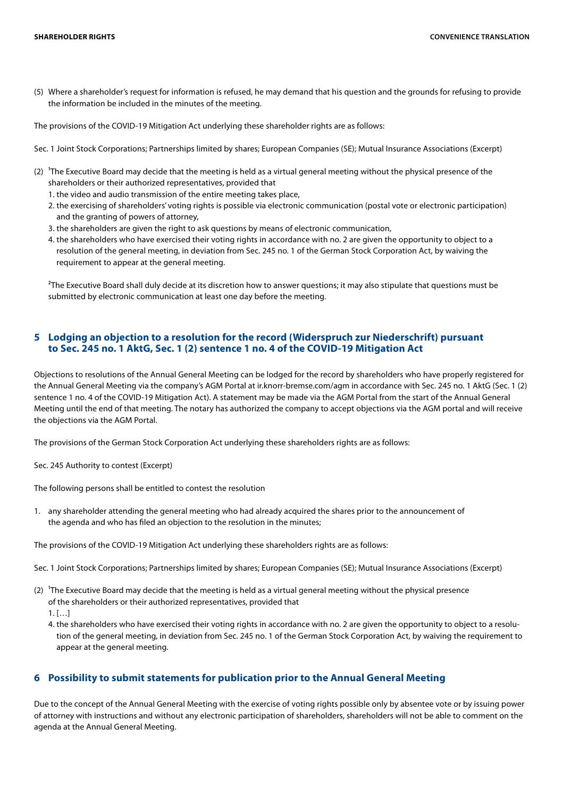(5) Where a shareholder's request for information is refused, he may demand that his question and the grounds for refusing to provide the information be included in the minutes of the meeting.

The provisions of the COVID-19 Mitigation Act underlying these shareholder rights are as follows:

- Sec. 1 Joint Stock Corporations; Partnerships limited by shares; European Companies (SE); Mutual Insurance Associations (Excerpt)
- (2) The Executive Board may decide that the meeting is held as a virtual general meeting without the physical presence of the shareholders or their authorized representatives, provided that
	- 1. the video and audio transmission of the entire meeting takes place,
	- 2. the exercising of shareholders' voting rights is possible via electronic communication (postal vote or electronic participation) and the granting of powers of attorney,
	- 3. the shareholders are given the right to ask questions by means of electronic communication,
	- 4. the shareholders who have exercised their voting rights in accordance with no. 2 are given the opportunity to object to a resolution of the general meeting, in deviation from Sec. 245 no. 1 of the German Stock Corporation Act, by waiving the requirement to appear at the general meeting.

<sup>2</sup>The Executive Board shall duly decide at its discretion how to answer questions; it may also stipulate that questions must be submitted by electronic communication at least one day before the meeting.

#### **5 Lodging an objection to a resolution for the record (Widerspruch zur Niederschrift) pursuant to Sec. 245 no. 1 AktG, Sec. 1 (2) sentence 1 no. 4 of the COVID-19 Mitigation Act**

Objections to resolutions of the Annual General Meeting can be lodged for the record by shareholders who have properly registered for the Annual General Meeting via the company's AGM Portal at ir.knorr-bremse.com/agm in accordance with Sec. 245 no. 1 AktG (Sec. 1 (2) sentence 1 no. 4 of the COVID-19 Mitigation Act). A statement may be made via the AGM Portal from the start of the Annual General Meeting until the end of that meeting. The notary has authorized the company to accept objections via the AGM portal and will receive the objections via the AGM Portal.

The provisions of the German Stock Corporation Act underlying these shareholders rights are as follows:

Sec. 245 Authority to contest (Excerpt)

The following persons shall be entitled to contest the resolution

1. any shareholder attending the general meeting who had already acquired the shares prior to the announcement of the agenda and who has filed an objection to the resolution in the minutes;

The provisions of the COVID-19 Mitigation Act underlying these shareholders rights are as follows:

Sec. 1 Joint Stock Corporations; Partnerships limited by shares; European Companies (SE); Mutual Insurance Associations (Excerpt)

- (2) <sup>1</sup>The Executive Board may decide that the meeting is held as a virtual general meeting without the physical presence of the shareholders or their authorized representatives, provided that
	- $1.$  […]
	- 4. the shareholders who have exercised their voting rights in accordance with no. 2 are given the opportunity to object to a resolution of the general meeting, in deviation from Sec. 245 no. 1 of the German Stock Corporation Act, by waiving the requirement to appear at the general meeting.

## **6 Possibility to submit statements for publication prior to the Annual General Meeting**

Due to the concept of the Annual General Meeting with the exercise of voting rights possible only by absentee vote or by issuing power of attorney with instructions and without any electronic participation of shareholders, shareholders will not be able to comment on the agenda at the Annual General Meeting.